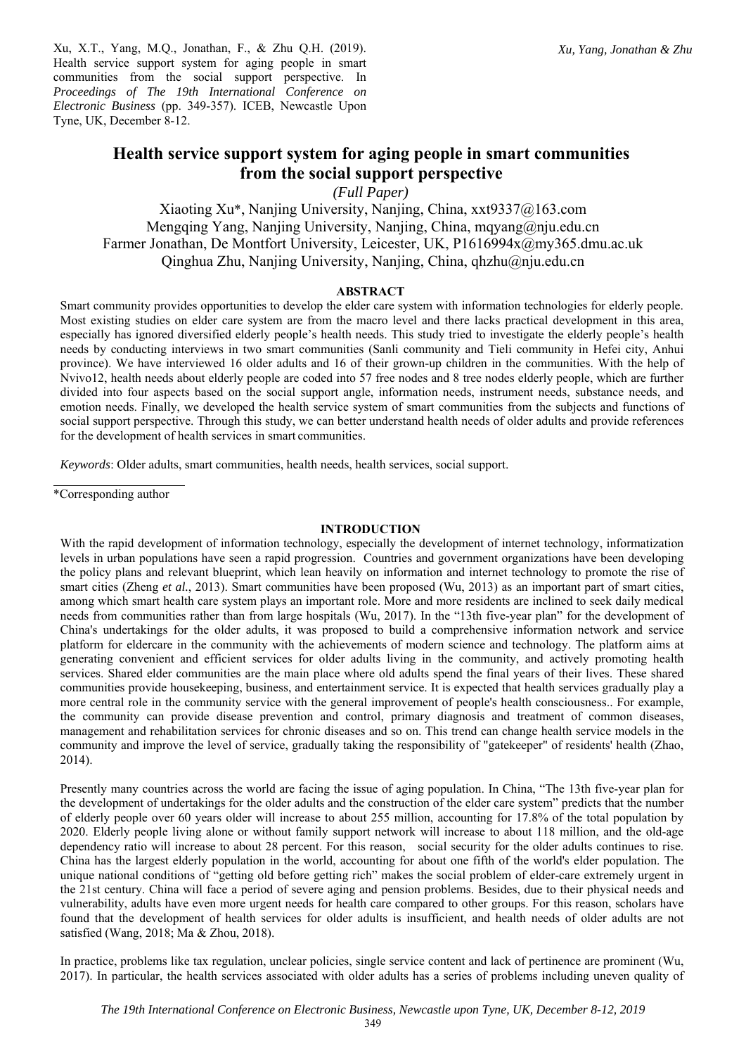*Xu, Yang, Jonathan & Zhu*

Xu, X.T., Yang, M.Q., Jonathan, F., & Zhu Q.H. (2019). Health service support system for aging people in smart communities from the social support perspective. In *Proceedings of The 19th International Conference on Electronic Business* (pp. 349-357). ICEB, Newcastle Upon Tyne, UK, December 8-12.

# **Health service support system for aging people in smart communities from the social support perspective**

*(Full Paper)* 

Xiaoting Xu\*, Nanjing University, Nanjing, China, xxt9337@163.com Mengqing Yang, Nanjing University, Nanjing, China, mqyang@nju.edu.cn Farmer Jonathan, De Montfort University, Leicester, UK, P1616994x@my365.dmu.ac.uk Qinghua Zhu, Nanjing University, Nanjing, China, qhzhu@nju.edu.cn

# **ABSTRACT**

Smart community provides opportunities to develop the elder care system with information technologies for elderly people. Most existing studies on elder care system are from the macro level and there lacks practical development in this area, especially has ignored diversified elderly people's health needs. This study tried to investigate the elderly people's health needs by conducting interviews in two smart communities (Sanli community and Tieli community in Hefei city, Anhui province). We have interviewed 16 older adults and 16 of their grown-up children in the communities. With the help of Nvivo12, health needs about elderly people are coded into 57 free nodes and 8 tree nodes elderly people, which are further divided into four aspects based on the social support angle, information needs, instrument needs, substance needs, and emotion needs. Finally, we developed the health service system of smart communities from the subjects and functions of social support perspective. Through this study, we can better understand health needs of older adults and provide references for the development of health services in smart communities.

*Keywords*: Older adults, smart communities, health needs, health services, social support.

\*Corresponding author

### **INTRODUCTION**

With the rapid development of information technology, especially the development of internet technology, informatization levels in urban populations have seen a rapid progression. Countries and government organizations have been developing the policy plans and relevant blueprint, which lean heavily on information and internet technology to promote the rise of smart cities (Zheng *et al.*, 2013). Smart communities have been proposed (Wu, 2013) as an important part of smart cities, among which smart health care system plays an important role. More and more residents are inclined to seek daily medical needs from communities rather than from large hospitals (Wu, 2017). In the "13th five-year plan" for the development of China's undertakings for the older adults, it was proposed to build a comprehensive information network and service platform for eldercare in the community with the achievements of modern science and technology. The platform aims at generating convenient and efficient services for older adults living in the community, and actively promoting health services. Shared elder communities are the main place where old adults spend the final years of their lives. These shared communities provide housekeeping, business, and entertainment service. It is expected that health services gradually play a more central role in the community service with the general improvement of people's health consciousness.. For example, the community can provide disease prevention and control, primary diagnosis and treatment of common diseases, management and rehabilitation services for chronic diseases and so on. This trend can change health service models in the community and improve the level of service, gradually taking the responsibility of "gatekeeper" of residents' health (Zhao, 2014).

Presently many countries across the world are facing the issue of aging population. In China, "The 13th five-year plan for the development of undertakings for the older adults and the construction of the elder care system" predicts that the number of elderly people over 60 years older will increase to about 255 million, accounting for 17.8% of the total population by 2020. Elderly people living alone or without family support network will increase to about 118 million, and the old-age dependency ratio will increase to about 28 percent. For this reason, social security for the older adults continues to rise. China has the largest elderly population in the world, accounting for about one fifth of the world's elder population. The unique national conditions of "getting old before getting rich" makes the social problem of elder-care extremely urgent in the 21st century. China will face a period of severe aging and pension problems. Besides, due to their physical needs and vulnerability, adults have even more urgent needs for health care compared to other groups. For this reason, scholars have found that the development of health services for older adults is insufficient, and health needs of older adults are not satisfied (Wang, 2018; Ma & Zhou, 2018).

In practice, problems like tax regulation, unclear policies, single service content and lack of pertinence are prominent (Wu, 2017). In particular, the health services associated with older adults has a series of problems including uneven quality of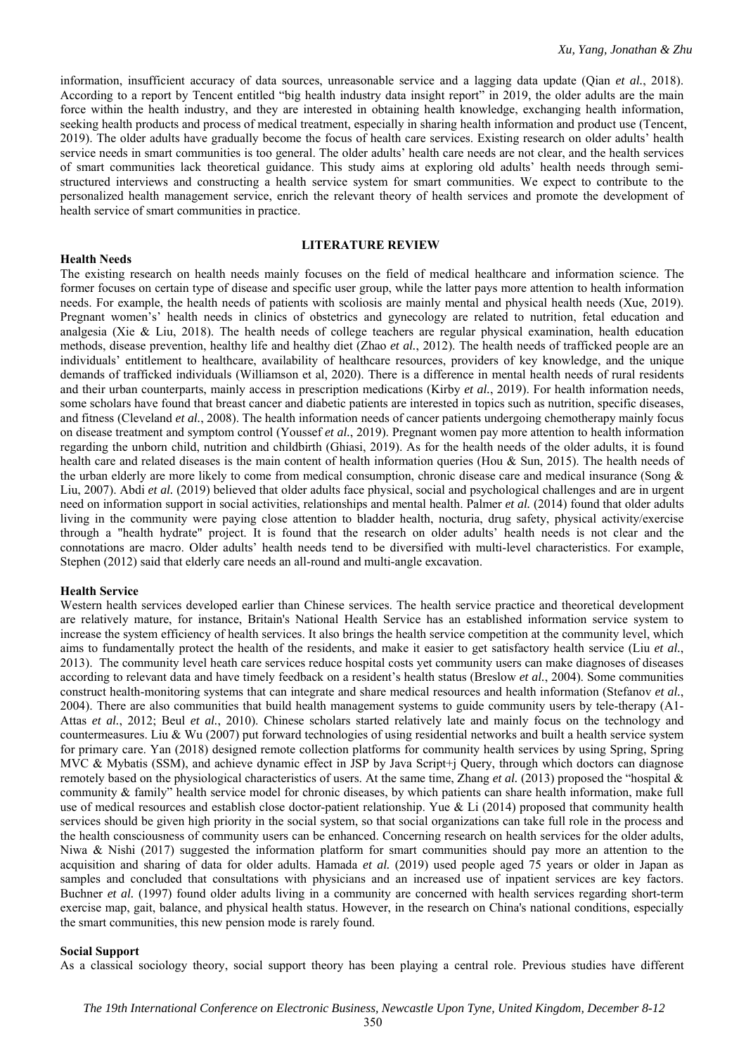information, insufficient accuracy of data sources, unreasonable service and a lagging data update (Qian *et al.*, 2018). According to a report by Tencent entitled "big health industry data insight report" in 2019, the older adults are the main force within the health industry, and they are interested in obtaining health knowledge, exchanging health information, seeking health products and process of medical treatment, especially in sharing health information and product use (Tencent, 2019). The older adults have gradually become the focus of health care services. Existing research on older adults' health service needs in smart communities is too general. The older adults' health care needs are not clear, and the health services of smart communities lack theoretical guidance. This study aims at exploring old adults' health needs through semistructured interviews and constructing a health service system for smart communities. We expect to contribute to the personalized health management service, enrich the relevant theory of health services and promote the development of health service of smart communities in practice.

### **LITERATURE REVIEW**

### **Health Needs**

The existing research on health needs mainly focuses on the field of medical healthcare and information science. The former focuses on certain type of disease and specific user group, while the latter pays more attention to health information needs. For example, the health needs of patients with scoliosis are mainly mental and physical health needs (Xue, 2019). Pregnant women's' health needs in clinics of obstetrics and gynecology are related to nutrition, fetal education and analgesia (Xie & Liu, 2018). The health needs of college teachers are regular physical examination, health education methods, disease prevention, healthy life and healthy diet (Zhao *et al.*, 2012). The health needs of trafficked people are an individuals' entitlement to healthcare, availability of healthcare resources, providers of key knowledge, and the unique demands of trafficked individuals (Williamson et al, 2020). There is a difference in mental health needs of rural residents and their urban counterparts, mainly access in prescription medications (Kirby *et al.*, 2019). For health information needs, some scholars have found that breast cancer and diabetic patients are interested in topics such as nutrition, specific diseases, and fitness (Cleveland *et al.*, 2008). The health information needs of cancer patients undergoing chemotherapy mainly focus on disease treatment and symptom control (Youssef *et al.*, 2019). Pregnant women pay more attention to health information regarding the unborn child, nutrition and childbirth (Ghiasi, 2019). As for the health needs of the older adults, it is found health care and related diseases is the main content of health information queries (Hou & Sun, 2015). The health needs of the urban elderly are more likely to come from medical consumption, chronic disease care and medical insurance (Song & Liu, 2007). Abdi *et al.* (2019) believed that older adults face physical, social and psychological challenges and are in urgent need on information support in social activities, relationships and mental health. Palmer *et al.* (2014) found that older adults living in the community were paying close attention to bladder health, nocturia, drug safety, physical activity/exercise through a "health hydrate" project. It is found that the research on older adults' health needs is not clear and the connotations are macro. Older adults' health needs tend to be diversified with multi-level characteristics. For example, Stephen (2012) said that elderly care needs an all-round and multi-angle excavation.

### **Health Service**

Western health services developed earlier than Chinese services. The health service practice and theoretical development are relatively mature, for instance, Britain's National Health Service has an established information service system to increase the system efficiency of health services. It also brings the health service competition at the community level, which aims to fundamentally protect the health of the residents, and make it easier to get satisfactory health service (Liu *et al.*, 2013). The community level heath care services reduce hospital costs yet community users can make diagnoses of diseases according to relevant data and have timely feedback on a resident's health status (Breslow *et al.*, 2004). Some communities construct health-monitoring systems that can integrate and share medical resources and health information (Stefanov *et al.*, 2004). There are also communities that build health management systems to guide community users by tele-therapy (A1- Attas *et al.*, 2012; Beul *et al.*, 2010). Chinese scholars started relatively late and mainly focus on the technology and countermeasures. Liu & Wu (2007) put forward technologies of using residential networks and built a health service system for primary care. Yan (2018) designed remote collection platforms for community health services by using Spring, Spring MVC & Mybatis (SSM), and achieve dynamic effect in JSP by Java Script+j Query, through which doctors can diagnose remotely based on the physiological characteristics of users. At the same time, Zhang *et al.* (2013) proposed the "hospital & community & family" health service model for chronic diseases, by which patients can share health information, make full use of medical resources and establish close doctor-patient relationship. Yue & Li  $(2014)$  proposed that community health services should be given high priority in the social system, so that social organizations can take full role in the process and the health consciousness of community users can be enhanced. Concerning research on health services for the older adults, Niwa & Nishi (2017) suggested the information platform for smart communities should pay more an attention to the acquisition and sharing of data for older adults. Hamada *et al.* (2019) used people aged 75 years or older in Japan as samples and concluded that consultations with physicians and an increased use of inpatient services are key factors. Buchner *et al.* (1997) found older adults living in a community are concerned with health services regarding short-term exercise map, gait, balance, and physical health status. However, in the research on China's national conditions, especially the smart communities, this new pension mode is rarely found.

### **Social Support**

As a classical sociology theory, social support theory has been playing a central role. Previous studies have different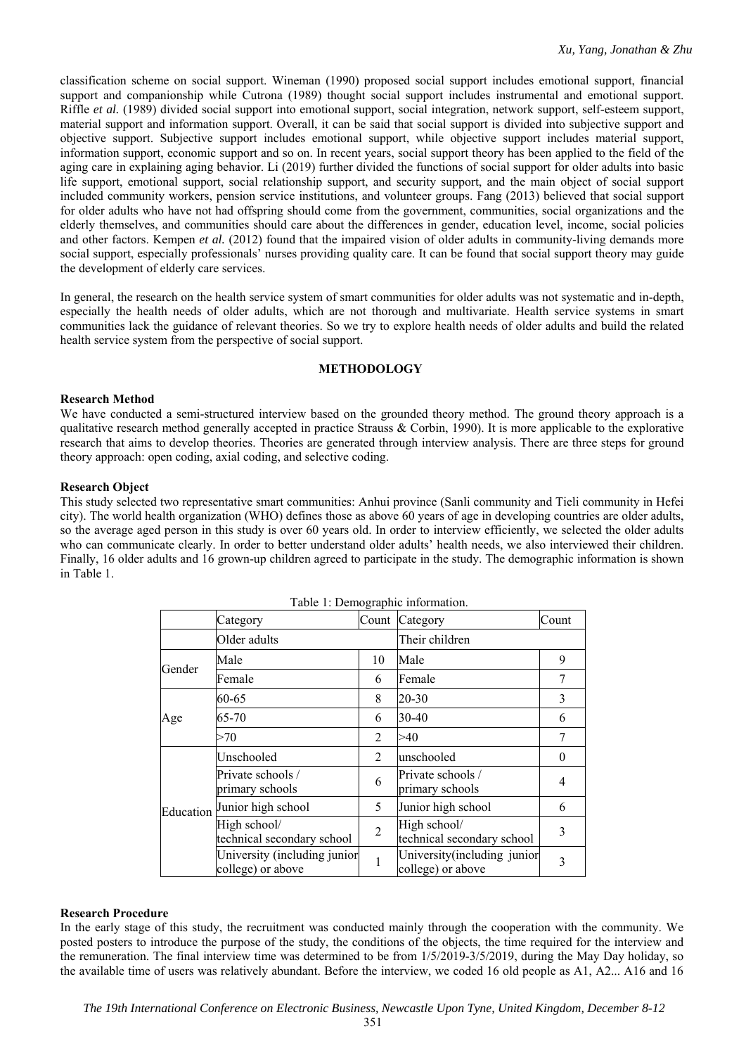classification scheme on social support. Wineman (1990) proposed social support includes emotional support, financial support and companionship while Cutrona (1989) thought social support includes instrumental and emotional support. Riffle *et al.* (1989) divided social support into emotional support, social integration, network support, self-esteem support, material support and information support. Overall, it can be said that social support is divided into subjective support and objective support. Subjective support includes emotional support, while objective support includes material support, information support, economic support and so on. In recent years, social support theory has been applied to the field of the aging care in explaining aging behavior. Li (2019) further divided the functions of social support for older adults into basic life support, emotional support, social relationship support, and security support, and the main object of social support included community workers, pension service institutions, and volunteer groups. Fang (2013) believed that social support for older adults who have not had offspring should come from the government, communities, social organizations and the elderly themselves, and communities should care about the differences in gender, education level, income, social policies and other factors. Kempen *et al.* (2012) found that the impaired vision of older adults in community-living demands more social support, especially professionals' nurses providing quality care. It can be found that social support theory may guide the development of elderly care services.

In general, the research on the health service system of smart communities for older adults was not systematic and in-depth, especially the health needs of older adults, which are not thorough and multivariate. Health service systems in smart communities lack the guidance of relevant theories. So we try to explore health needs of older adults and build the related health service system from the perspective of social support.

# **METHODOLOGY**

# **Research Method**

We have conducted a semi-structured interview based on the grounded theory method. The ground theory approach is a qualitative research method generally accepted in practice Strauss & Corbin, 1990). It is more applicable to the explorative research that aims to develop theories. Theories are generated through interview analysis. There are three steps for ground theory approach: open coding, axial coding, and selective coding.

# **Research Object**

This study selected two representative smart communities: Anhui province (Sanli community and Tieli community in Hefei city). The world health organization (WHO) defines those as above 60 years of age in developing countries are older adults, so the average aged person in this study is over 60 years old. In order to interview efficiently, we selected the older adults who can communicate clearly. In order to better understand older adults' health needs, we also interviewed their children. Finally, 16 older adults and 16 grown-up children agreed to participate in the study. The demographic information is shown in Table 1.

|           | Category                                          | o              | Count Category                                    | Count    |
|-----------|---------------------------------------------------|----------------|---------------------------------------------------|----------|
|           | Older adults                                      |                | Their children                                    |          |
|           | Male                                              | 10             | Male                                              | 9        |
| Gender    | Female                                            | 6              | Female                                            | 7        |
|           | 60-65                                             | 8              | 20-30                                             | 3        |
| Age       | 65-70                                             | 6              | 30-40                                             | 6        |
|           | >70                                               | 2              | >40                                               | 7        |
| Education | Unschooled                                        | 2              | unschooled                                        | $\theta$ |
|           | Private schools /<br>primary schools              | 6              | Private schools /<br>primary schools              | 4        |
|           | Junior high school                                | 5              | Junior high school                                | 6        |
|           | High school/<br>technical secondary school        | $\overline{2}$ | High school/<br>technical secondary school        | 3        |
|           | University (including junior<br>college) or above | 1              | University (including junior<br>college) or above | 3        |

Table 1: Demographic information.

# **Research Procedure**

In the early stage of this study, the recruitment was conducted mainly through the cooperation with the community. We posted posters to introduce the purpose of the study, the conditions of the objects, the time required for the interview and the remuneration. The final interview time was determined to be from 1/5/2019-3/5/2019, during the May Day holiday, so the available time of users was relatively abundant. Before the interview, we coded 16 old people as A1, A2... A16 and 16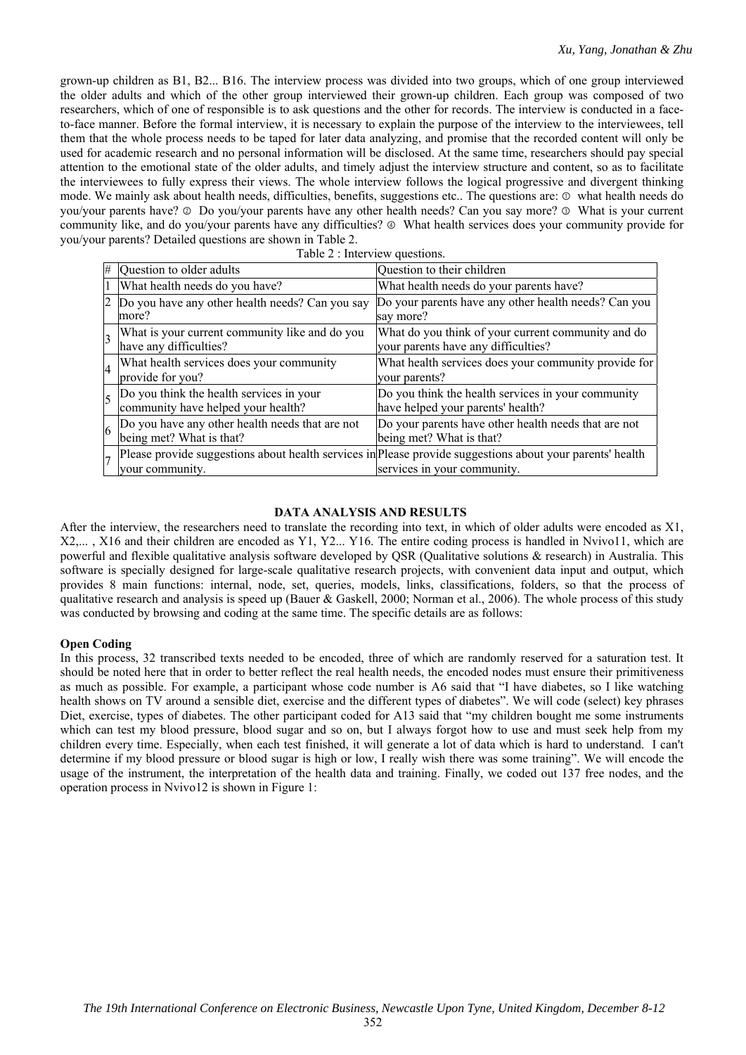grown-up children as B1, B2... B16. The interview process was divided into two groups, which of one group interviewed the older adults and which of the other group interviewed their grown-up children. Each group was composed of two researchers, which of one of responsible is to ask questions and the other for records. The interview is conducted in a faceto-face manner. Before the formal interview, it is necessary to explain the purpose of the interview to the interviewees, tell them that the whole process needs to be taped for later data analyzing, and promise that the recorded content will only be used for academic research and no personal information will be disclosed. At the same time, researchers should pay special attention to the emotional state of the older adults, and timely adjust the interview structure and content, so as to facilitate the interviewees to fully express their views. The whole interview follows the logical progressive and divergent thinking mode. We mainly ask about health needs, difficulties, benefits, suggestions etc.. The questions are: ① what health needs do you/your parents have? ② Do you/your parents have any other health needs? Can you say more? ③ What is your current community like, and do you/your parents have any difficulties?  $\circledcirc$  What health services does your community provide for you/your parents? Detailed questions are shown in Table 2.

|  | Table 2 : Interview questions. |
|--|--------------------------------|
|  |                                |

|                | $\#$ Question to older adults                                                                                                                                                                                                                                                                                                                                                                                                                                                              | Question to their children                                                                                                                       |
|----------------|--------------------------------------------------------------------------------------------------------------------------------------------------------------------------------------------------------------------------------------------------------------------------------------------------------------------------------------------------------------------------------------------------------------------------------------------------------------------------------------------|--------------------------------------------------------------------------------------------------------------------------------------------------|
|                | What health needs do you have?                                                                                                                                                                                                                                                                                                                                                                                                                                                             | What health needs do your parents have?                                                                                                          |
|                | 2 Do you have any other health needs? Can you say<br>more?                                                                                                                                                                                                                                                                                                                                                                                                                                 | Do your parents have any other health needs? Can you<br>say more?                                                                                |
| $\vert$ 3      | What is your current community like and do you<br>have any difficulties?                                                                                                                                                                                                                                                                                                                                                                                                                   | What do you think of your current community and do<br>your parents have any difficulties?                                                        |
| $\overline{4}$ | What health services does your community<br>provide for you?                                                                                                                                                                                                                                                                                                                                                                                                                               | What health services does your community provide for<br>your parents?                                                                            |
| 5              | Do you think the health services in your<br>community have helped your health?                                                                                                                                                                                                                                                                                                                                                                                                             | Do you think the health services in your community<br>have helped your parents' health?                                                          |
|                | $\begin{bmatrix} 6 & \text{Do you have any other health needs that are not} \\ \text{1} & \text{1} & \text{1} \\ \text{2} & \text{1} & \text{2} \\ \text{3} & \text{2} & \text{3} \\ \text{4} & \text{5} & \text{2} \\ \text{5} & \text{6} & \text{2} \\ \text{6} & \text{1} & \text{2} \\ \text{7} & \text{1} & \text{2} \\ \text{8} & \text{1} & \text{2} \\ \text{9} & \text{1} & \text{2} \\ \text{10} & \text{1} & \text{2} \\ \text{11} & \text{12} & \$<br>being met? What is that? | Do your parents have other health needs that are not<br>being met? What is that?                                                                 |
|                | your community.                                                                                                                                                                                                                                                                                                                                                                                                                                                                            | $\vert$ Please provide suggestions about health services in Please provide suggestions about your parents' health<br>services in your community. |

# **DATA ANALYSIS AND RESULTS**

After the interview, the researchers need to translate the recording into text, in which of older adults were encoded as X1, X2,... , X16 and their children are encoded as Y1, Y2... Y16. The entire coding process is handled in Nvivo11, which are powerful and flexible qualitative analysis software developed by QSR (Qualitative solutions & research) in Australia. This software is specially designed for large-scale qualitative research projects, with convenient data input and output, which provides 8 main functions: internal, node, set, queries, models, links, classifications, folders, so that the process of qualitative research and analysis is speed up (Bauer & Gaskell, 2000; Norman et al., 2006). The whole process of this study was conducted by browsing and coding at the same time. The specific details are as follows:

### **Open Coding**

In this process, 32 transcribed texts needed to be encoded, three of which are randomly reserved for a saturation test. It should be noted here that in order to better reflect the real health needs, the encoded nodes must ensure their primitiveness as much as possible. For example, a participant whose code number is A6 said that "I have diabetes, so I like watching health shows on TV around a sensible diet, exercise and the different types of diabetes". We will code (select) key phrases Diet, exercise, types of diabetes. The other participant coded for A13 said that "my children bought me some instruments which can test my blood pressure, blood sugar and so on, but I always forgot how to use and must seek help from my children every time. Especially, when each test finished, it will generate a lot of data which is hard to understand. I can't determine if my blood pressure or blood sugar is high or low, I really wish there was some training". We will encode the usage of the instrument, the interpretation of the health data and training. Finally, we coded out 137 free nodes, and the operation process in Nvivo12 is shown in Figure 1: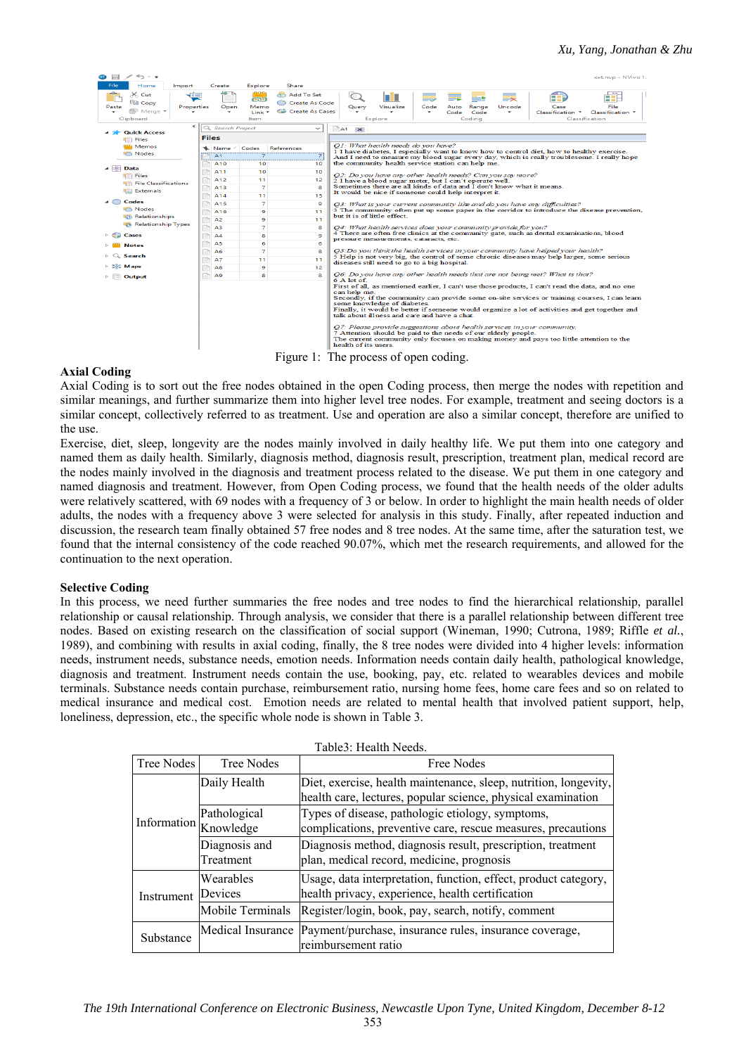| <b>STATISTICS</b><br>File               | Home                                                    |              |                       |                               |                                                 | .                                                                                                                                                                                                                                                                                                                                                                                                                                                                                                                                                               |  |  |  |
|-----------------------------------------|---------------------------------------------------------|--------------|-----------------------|-------------------------------|-------------------------------------------------|-----------------------------------------------------------------------------------------------------------------------------------------------------------------------------------------------------------------------------------------------------------------------------------------------------------------------------------------------------------------------------------------------------------------------------------------------------------------------------------------------------------------------------------------------------------------|--|--|--|
|                                         | Import                                                  |              | Create                | Explore                       | Share                                           |                                                                                                                                                                                                                                                                                                                                                                                                                                                                                                                                                                 |  |  |  |
| Paste<br>Clipboard                      | $\times$ Cut<br><b>EE</b> Copy<br>Properties<br>Merge * |              | Open                  | ಕಾಶ<br>Memo<br>Link *<br>Item | Add To Set<br>Create As Code<br>Create As Cases | Visualize<br>File<br>Query<br>Code<br>Range<br>Uncode<br>Case<br>Auto<br>Code<br>Code<br>Classification<br>Classification *<br>Codina<br>Classification<br>Explore                                                                                                                                                                                                                                                                                                                                                                                              |  |  |  |
|                                         | $\hat{}$                                                |              | <b>Search Project</b> |                               | $\checkmark$                                    | A1<br>$\mathbf{\times}$                                                                                                                                                                                                                                                                                                                                                                                                                                                                                                                                         |  |  |  |
|                                         | <b>Quick Access</b>                                     |              |                       |                               |                                                 |                                                                                                                                                                                                                                                                                                                                                                                                                                                                                                                                                                 |  |  |  |
| <b>Files</b>                            |                                                         | <b>Files</b> |                       |                               |                                                 |                                                                                                                                                                                                                                                                                                                                                                                                                                                                                                                                                                 |  |  |  |
|                                         | Memos                                                   |              | Name / Codes          |                               | <b>References</b>                               | Q1: What health needs do you have?<br>1 I have diabetes. I especially want to know how to control diet, how to healthy exercise.                                                                                                                                                                                                                                                                                                                                                                                                                                |  |  |  |
| Modes                                   |                                                         |              | A1                    | $\overline{7}$                | 7                                               | And I need to measure my blood sugar every day, which is really troublesome. I really hope                                                                                                                                                                                                                                                                                                                                                                                                                                                                      |  |  |  |
|                                         |                                                         |              | A <sub>10</sub>       | 10                            | 10                                              | the community health service station can help me.                                                                                                                                                                                                                                                                                                                                                                                                                                                                                                               |  |  |  |
| $\triangleq$ $\boxed{\frac{1}{2}}$ Data |                                                         |              | A11                   | 10                            | 10                                              | Q2: Do you have any other health needs? Can you say more?                                                                                                                                                                                                                                                                                                                                                                                                                                                                                                       |  |  |  |
| <b>Files</b>                            | <b>Mill File Classifications</b>                        |              | A12                   | 11                            | 12                                              | 2 I have a blood sugar meter, but I can't operate well.                                                                                                                                                                                                                                                                                                                                                                                                                                                                                                         |  |  |  |
|                                         | <b>Externals</b>                                        |              | A13                   | $\overline{7}$                | 8                                               | Sometimes there are all kinds of data and I don't know what it means.                                                                                                                                                                                                                                                                                                                                                                                                                                                                                           |  |  |  |
|                                         |                                                         |              | A14                   | 11                            | 15                                              | It would be nice if someone could help interpret it.                                                                                                                                                                                                                                                                                                                                                                                                                                                                                                            |  |  |  |
| Codes                                   |                                                         |              | A15                   | 7                             | 9                                               | O3: What is your current community like and do you have any difficulties?                                                                                                                                                                                                                                                                                                                                                                                                                                                                                       |  |  |  |
| <b>C</b> Nodes                          |                                                         |              | A16                   | $\circ$                       | 11                                              | 3 The community often put up some paper in the corridor to introduce the disease prevention,                                                                                                                                                                                                                                                                                                                                                                                                                                                                    |  |  |  |
|                                         | <b>Co</b> Relationships                                 |              | A <sub>2</sub>        | 9                             | 11                                              | but it is of little effect.                                                                                                                                                                                                                                                                                                                                                                                                                                                                                                                                     |  |  |  |
|                                         | Relationship Types                                      |              | A <sub>3</sub>        | $\overline{\mathbf{z}}$       | 8                                               | O4: What health services does your community provide for you?                                                                                                                                                                                                                                                                                                                                                                                                                                                                                                   |  |  |  |
| Cases                                   |                                                         |              | A4                    | 8                             | 9                                               | 4 There are often free clinics at the community gate, such as dental examinations, blood                                                                                                                                                                                                                                                                                                                                                                                                                                                                        |  |  |  |
| <b>Notes</b>                            |                                                         |              | A5                    | 6                             | 6                                               | pressure measurements, cataracts, etc.                                                                                                                                                                                                                                                                                                                                                                                                                                                                                                                          |  |  |  |
|                                         |                                                         |              | A6                    | $\overline{\mathbf{z}}$       | 8                                               | O5: Do you think the health services in your community have helped your health?                                                                                                                                                                                                                                                                                                                                                                                                                                                                                 |  |  |  |
| Search                                  |                                                         |              | A7                    | 11                            | 11                                              | 5 Help is not very big, the control of some chronic diseases may help larger, some serious                                                                                                                                                                                                                                                                                                                                                                                                                                                                      |  |  |  |
| <b>DIC Maps</b>                         |                                                         |              | A8                    | 9                             | 12                                              | diseases still need to go to a big hospital.                                                                                                                                                                                                                                                                                                                                                                                                                                                                                                                    |  |  |  |
| $\triangleright$ $\blacksquare$ Output  |                                                         | n            | A9                    | 8                             | 8                                               | O6: Do you have any other health needs that are not being met? What is that?                                                                                                                                                                                                                                                                                                                                                                                                                                                                                    |  |  |  |
|                                         |                                                         |              |                       |                               |                                                 | $6A$ lot of<br>First of all, as mentioned earlier, I can't use those products, I can't read the data, and no one<br>can help me.<br>Secondly, if the community can provide some on-site services or training courses, I can learn<br>some knowledge of diabetes.<br>Finally, it would be better if someone would organize a lot of activities and get together and<br>talk about illness and care and have a chat.<br>Q7: Please provide suggestions about health services in your community.<br>7 Attention should be paid to the needs of our elderly people. |  |  |  |
|                                         |                                                         |              |                       |                               |                                                 | The current community only focuses on making money and pays too little attention to the<br>health of its users.<br>Figure 1: The process of open coding.                                                                                                                                                                                                                                                                                                                                                                                                        |  |  |  |

### **Axial Coding**

 $\bullet = \bullet \bullet \bullet$ 

Axial Coding is to sort out the free nodes obtained in the open Coding process, then merge the nodes with repetition and similar meanings, and further summarize them into higher level tree nodes. For example, treatment and seeing doctors is a similar concept, collectively referred to as treatment. Use and operation are also a similar concept, therefore are unified to the use.

Exercise, diet, sleep, longevity are the nodes mainly involved in daily healthy life. We put them into one category and named them as daily health. Similarly, diagnosis method, diagnosis result, prescription, treatment plan, medical record are the nodes mainly involved in the diagnosis and treatment process related to the disease. We put them in one category and named diagnosis and treatment. However, from Open Coding process, we found that the health needs of the older adults were relatively scattered, with 69 nodes with a frequency of 3 or below. In order to highlight the main health needs of older adults, the nodes with a frequency above 3 were selected for analysis in this study. Finally, after repeated induction and discussion, the research team finally obtained 57 free nodes and 8 tree nodes. At the same time, after the saturation test, we found that the internal consistency of the code reached 90.07%, which met the research requirements, and allowed for the continuation to the next operation.

### **Selective Coding**

In this process, we need further summaries the free nodes and tree nodes to find the hierarchical relationship, parallel relationship or causal relationship. Through analysis, we consider that there is a parallel relationship between different tree nodes. Based on existing research on the classification of social support (Wineman, 1990; Cutrona, 1989; Riffle *et al.*, 1989), and combining with results in axial coding, finally, the 8 tree nodes were divided into 4 higher levels: information needs, instrument needs, substance needs, emotion needs. Information needs contain daily health, pathological knowledge, diagnosis and treatment. Instrument needs contain the use, booking, pay, etc. related to wearables devices and mobile terminals. Substance needs contain purchase, reimbursement ratio, nursing home fees, home care fees and so on related to medical insurance and medical cost. Emotion needs are related to mental health that involved patient support, help, loneliness, depression, etc., the specific whole node is shown in Table 3.

| Table3: Health Needs. |                                       |                                                                                                                                  |  |  |  |
|-----------------------|---------------------------------------|----------------------------------------------------------------------------------------------------------------------------------|--|--|--|
| Tree Nodes            | Tree Nodes                            | Free Nodes                                                                                                                       |  |  |  |
|                       | Daily Health                          | Diet, exercise, health maintenance, sleep, nutrition, longevity,<br>health care, lectures, popular science, physical examination |  |  |  |
|                       | Pathological<br>Information Knowledge | Types of disease, pathologic etiology, symptoms,<br>complications, preventive care, rescue measures, precautions                 |  |  |  |
|                       | Diagnosis and<br>Treatment            | Diagnosis method, diagnosis result, prescription, treatment<br>plan, medical record, medicine, prognosis                         |  |  |  |
| Instrument            | Wearables<br>Devices                  | Usage, data interpretation, function, effect, product category,<br>health privacy, experience, health certification              |  |  |  |
|                       | Mobile Terminals                      | Register/login, book, pay, search, notify, comment                                                                               |  |  |  |
| Substance             | Medical Insurance                     | Payment/purchase, insurance rules, insurance coverage,<br>reimbursement ratio                                                    |  |  |  |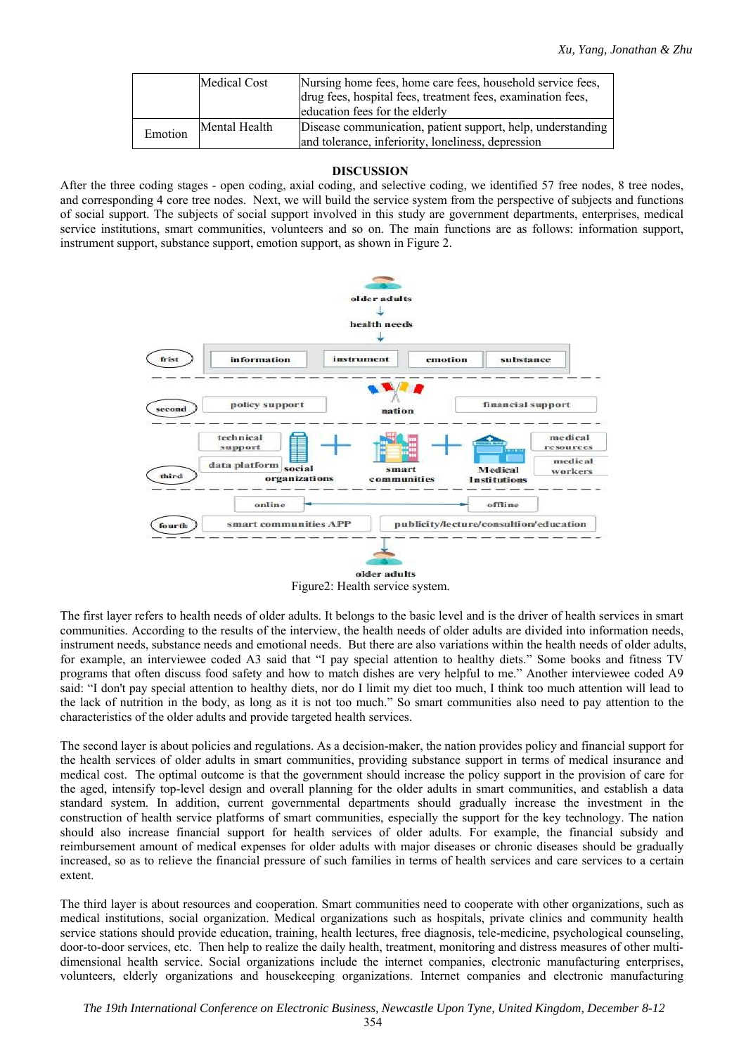|         | Medical Cost  | Nursing home fees, home care fees, household service fees,<br>drug fees, hospital fees, treatment fees, examination fees,<br>education fees for the elderly |
|---------|---------------|-------------------------------------------------------------------------------------------------------------------------------------------------------------|
| Emotion | Mental Health | Disease communication, patient support, help, understanding<br>and tolerance, inferiority, loneliness, depression                                           |

### **DISCUSSION**

After the three coding stages - open coding, axial coding, and selective coding, we identified 57 free nodes, 8 tree nodes, and corresponding 4 core tree nodes. Next, we will build the service system from the perspective of subjects and functions of social support. The subjects of social support involved in this study are government departments, enterprises, medical service institutions, smart communities, volunteers and so on. The main functions are as follows: information support, instrument support, substance support, emotion support, as shown in Figure 2.



Figure2: Health service system.

The first layer refers to health needs of older adults. It belongs to the basic level and is the driver of health services in smart communities. According to the results of the interview, the health needs of older adults are divided into information needs, instrument needs, substance needs and emotional needs. But there are also variations within the health needs of older adults, for example, an interviewee coded A3 said that "I pay special attention to healthy diets." Some books and fitness TV programs that often discuss food safety and how to match dishes are very helpful to me." Another interviewee coded A9 said: "I don't pay special attention to healthy diets, nor do I limit my diet too much, I think too much attention will lead to the lack of nutrition in the body, as long as it is not too much." So smart communities also need to pay attention to the characteristics of the older adults and provide targeted health services.

The second layer is about policies and regulations. As a decision-maker, the nation provides policy and financial support for the health services of older adults in smart communities, providing substance support in terms of medical insurance and medical cost. The optimal outcome is that the government should increase the policy support in the provision of care for the aged, intensify top-level design and overall planning for the older adults in smart communities, and establish a data standard system. In addition, current governmental departments should gradually increase the investment in the construction of health service platforms of smart communities, especially the support for the key technology. The nation should also increase financial support for health services of older adults. For example, the financial subsidy and reimbursement amount of medical expenses for older adults with major diseases or chronic diseases should be gradually increased, so as to relieve the financial pressure of such families in terms of health services and care services to a certain extent.

The third layer is about resources and cooperation. Smart communities need to cooperate with other organizations, such as medical institutions, social organization. Medical organizations such as hospitals, private clinics and community health service stations should provide education, training, health lectures, free diagnosis, tele-medicine, psychological counseling, door-to-door services, etc. Then help to realize the daily health, treatment, monitoring and distress measures of other multidimensional health service. Social organizations include the internet companies, electronic manufacturing enterprises, volunteers, elderly organizations and housekeeping organizations. Internet companies and electronic manufacturing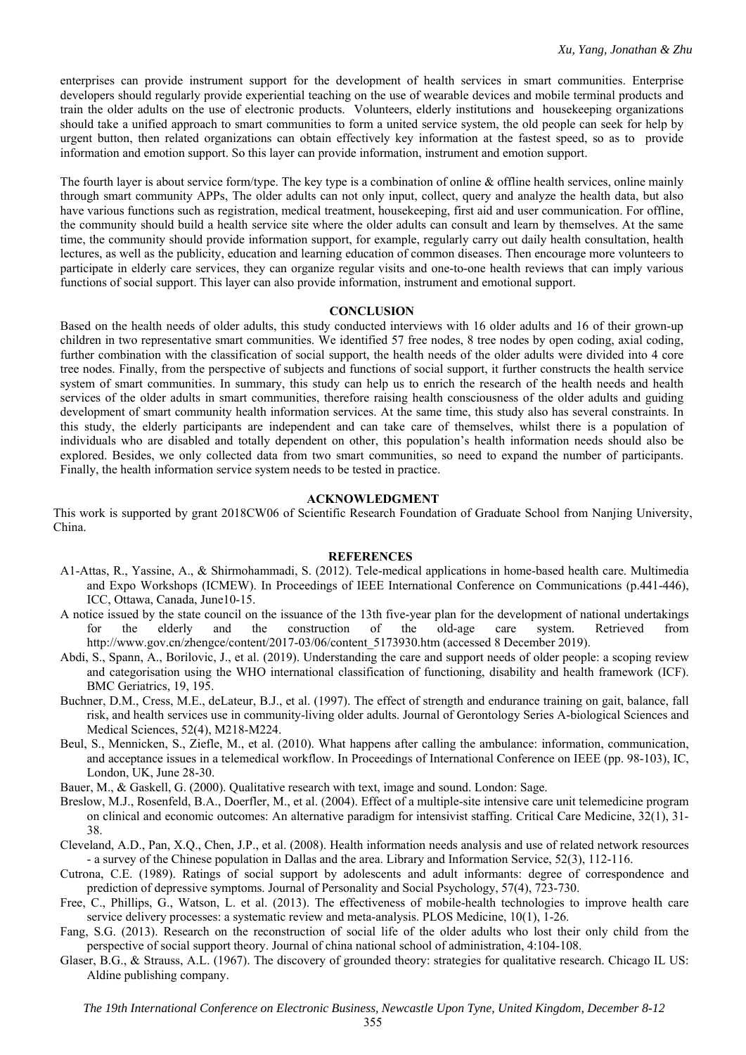enterprises can provide instrument support for the development of health services in smart communities. Enterprise developers should regularly provide experiential teaching on the use of wearable devices and mobile terminal products and train the older adults on the use of electronic products. Volunteers, elderly institutions and housekeeping organizations should take a unified approach to smart communities to form a united service system, the old people can seek for help by urgent button, then related organizations can obtain effectively key information at the fastest speed, so as to provide information and emotion support. So this layer can provide information, instrument and emotion support.

The fourth layer is about service form/type. The key type is a combination of online & offline health services, online mainly through smart community APPs, The older adults can not only input, collect, query and analyze the health data, but also have various functions such as registration, medical treatment, housekeeping, first aid and user communication. For offline, the community should build a health service site where the older adults can consult and learn by themselves. At the same time, the community should provide information support, for example, regularly carry out daily health consultation, health lectures, as well as the publicity, education and learning education of common diseases. Then encourage more volunteers to participate in elderly care services, they can organize regular visits and one-to-one health reviews that can imply various functions of social support. This layer can also provide information, instrument and emotional support.

### **CONCLUSION**

Based on the health needs of older adults, this study conducted interviews with 16 older adults and 16 of their grown-up children in two representative smart communities. We identified 57 free nodes, 8 tree nodes by open coding, axial coding, further combination with the classification of social support, the health needs of the older adults were divided into 4 core tree nodes. Finally, from the perspective of subjects and functions of social support, it further constructs the health service system of smart communities. In summary, this study can help us to enrich the research of the health needs and health services of the older adults in smart communities, therefore raising health consciousness of the older adults and guiding development of smart community health information services. At the same time, this study also has several constraints. In this study, the elderly participants are independent and can take care of themselves, whilst there is a population of individuals who are disabled and totally dependent on other, this population's health information needs should also be explored. Besides, we only collected data from two smart communities, so need to expand the number of participants. Finally, the health information service system needs to be tested in practice.

### **ACKNOWLEDGMENT**

This work is supported by grant 2018CW06 of Scientific Research Foundation of Graduate School from Nanjing University, China.

### **REFERENCES**

- A1-Attas, R., Yassine, A., & Shirmohammadi, S. (2012). Tele-medical applications in home-based health care. Multimedia and Expo Workshops (ICMEW). In Proceedings of IEEE International Conference on Communications (p.441-446), ICC, Ottawa, Canada, June10-15.
- A notice issued by the state council on the issuance of the 13th five-year plan for the development of national undertakings for the elderly and the construction of the old-age care system. Retrieved from http://www.gov.cn/zhengce/content/2017-03/06/content 5173930.htm (accessed 8 December 2019).
- Abdi, S., Spann, A., Borilovic, J., et al. (2019). Understanding the care and support needs of older people: a scoping review and categorisation using the WHO international classification of functioning, disability and health framework (ICF). BMC Geriatrics, 19, 195.
- Buchner, D.M., Cress, M.E., deLateur, B.J., et al. (1997). The effect of strength and endurance training on gait, balance, fall risk, and health services use in community-living older adults. Journal of Gerontology Series A-biological Sciences and Medical Sciences, 52(4), M218-M224.
- Beul, S., Mennicken, S., Ziefle, M., et al. (2010). What happens after calling the ambulance: information, communication, and acceptance issues in a telemedical workflow. In Proceedings of International Conference on IEEE (pp. 98-103), IC, London, UK, June 28-30.
- Bauer, M., & Gaskell, G. (2000). Qualitative research with text, image and sound. London: Sage.
- Breslow, M.J., Rosenfeld, B.A., Doerfler, M., et al. (2004). Effect of a multiple-site intensive care unit telemedicine program on clinical and economic outcomes: An alternative paradigm for intensivist staffing. Critical Care Medicine, 32(1), 31- 38.
- Cleveland, A.D., Pan, X.Q., Chen, J.P., et al. (2008). Health information needs analysis and use of related network resources - a survey of the Chinese population in Dallas and the area. Library and Information Service, 52(3), 112-116.
- Cutrona, C.E. (1989). Ratings of social support by adolescents and adult informants: degree of correspondence and prediction of depressive symptoms. Journal of Personality and Social Psychology, 57(4), 723-730.
- Free, C., Phillips, G., Watson, L. et al. (2013). The effectiveness of mobile-health technologies to improve health care service delivery processes: a systematic review and meta-analysis. PLOS Medicine, 10(1), 1-26.
- Fang, S.G. (2013). Research on the reconstruction of social life of the older adults who lost their only child from the perspective of social support theory. Journal of china national school of administration, 4:104-108.
- Glaser, B.G., & Strauss, A.L. (1967). The discovery of grounded theory: strategies for qualitative research. Chicago IL US: Aldine publishing company.

*The 19th International Conference on Electronic Business, Newcastle Upon Tyne, United Kingdom, December 8-12*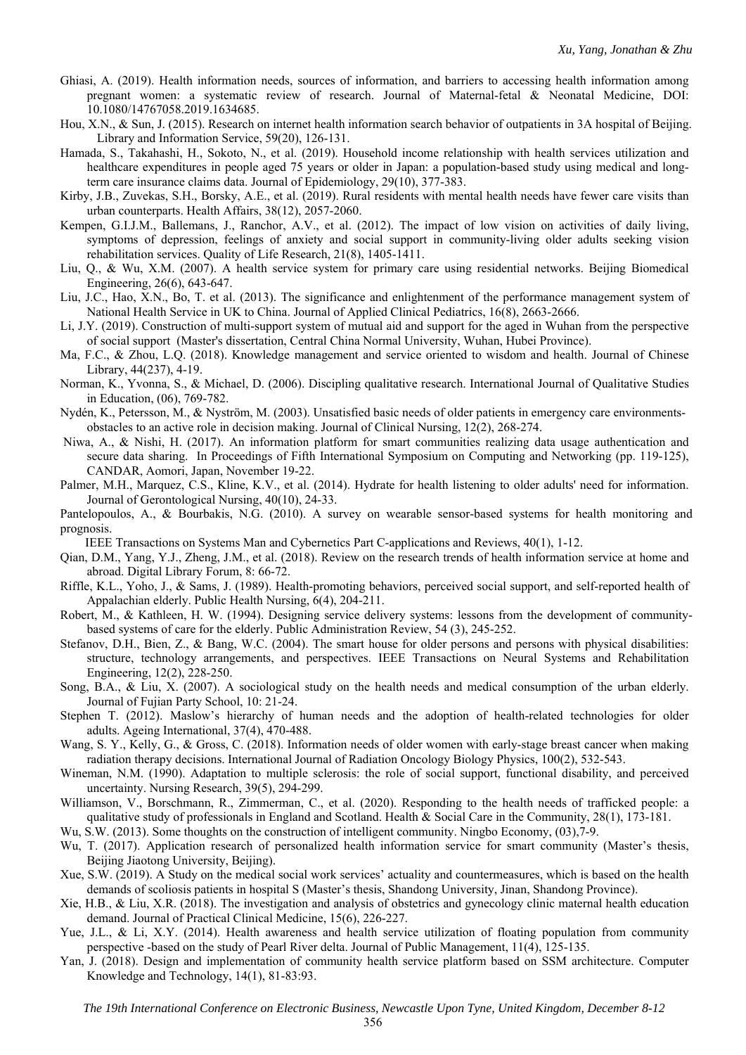- Ghiasi, A. (2019). Health information needs, sources of information, and barriers to accessing health information among pregnant women: a systematic review of research. Journal of Maternal-fetal & Neonatal Medicine, DOI: 10.1080/14767058.2019.1634685.
- Hou, X.N., & Sun, J. (2015). Research on internet health information search behavior of outpatients in 3A hospital of Beijing. Library and Information Service, 59(20), 126-131.
- Hamada, S., Takahashi, H., Sokoto, N., et al. (2019). Household income relationship with health services utilization and healthcare expenditures in people aged 75 years or older in Japan: a population-based study using medical and longterm care insurance claims data. Journal of Epidemiology, 29(10), 377-383.
- Kirby, J.B., Zuvekas, S.H., Borsky, A.E., et al. (2019). Rural residents with mental health needs have fewer care visits than urban counterparts. Health Affairs, 38(12), 2057-2060.
- Kempen, G.I.J.M., Ballemans, J., Ranchor, A.V., et al. (2012). The impact of low vision on activities of daily living, symptoms of depression, feelings of anxiety and social support in community-living older adults seeking vision rehabilitation services. Quality of Life Research, 21(8), 1405-1411.
- Liu, Q., & Wu, X.M. (2007). A health service system for primary care using residential networks. Beijing Biomedical Engineering, 26(6), 643-647.
- Liu, J.C., Hao, X.N., Bo, T. et al. (2013). The significance and enlightenment of the performance management system of National Health Service in UK to China. Journal of Applied Clinical Pediatrics, 16(8), 2663-2666.
- Li, J.Y. (2019). Construction of multi-support system of mutual aid and support for the aged in Wuhan from the perspective of social support (Master's dissertation, Central China Normal University, Wuhan, Hubei Province).
- Ma, F.C., & Zhou, L.Q. (2018). Knowledge management and service oriented to wisdom and health. Journal of Chinese Library, 44(237), 4-19.
- Norman, K., Yvonna, S., & Michael, D. (2006). Discipling qualitative research. International Journal of Qualitative Studies in Education, (06), 769-782.
- Nydén, K., Petersson, M., & Nyström, M. (2003). Unsatisfied basic needs of older patients in emergency care environmentsobstacles to an active role in decision making. Journal of Clinical Nursing, 12(2), 268-274.
- Niwa, A., & Nishi, H. (2017). An information platform for smart communities realizing data usage authentication and secure data sharing. In Proceedings of Fifth International Symposium on Computing and Networking (pp. 119-125), CANDAR, Aomori, Japan, November 19-22.
- Palmer, M.H., Marquez, C.S., Kline, K.V., et al. (2014). Hydrate for health listening to older adults' need for information. Journal of Gerontological Nursing, 40(10), 24-33.
- Pantelopoulos, A., & Bourbakis, N.G. (2010). A survey on wearable sensor-based systems for health monitoring and prognosis.
- IEEE Transactions on Systems Man and Cybernetics Part C-applications and Reviews, 40(1), 1-12.
- Qian, D.M., Yang, Y.J., Zheng, J.M., et al. (2018). Review on the research trends of health information service at home and abroad. Digital Library Forum, 8: 66-72.
- Riffle, K.L., Yoho, J., & Sams, J. (1989). Health-promoting behaviors, perceived social support, and self-reported health of Appalachian elderly. Public Health Nursing, 6(4), 204-211.
- Robert, M., & Kathleen, H. W. (1994). Designing service delivery systems: lessons from the development of communitybased systems of care for the elderly. Public Administration Review, 54 (3), 245-252.
- Stefanov, D.H., Bien, Z., & Bang, W.C. (2004). The smart house for older persons and persons with physical disabilities: structure, technology arrangements, and perspectives. IEEE Transactions on Neural Systems and Rehabilitation Engineering, 12(2), 228-250.
- Song, B.A., & Liu, X. (2007). A sociological study on the health needs and medical consumption of the urban elderly. Journal of Fujian Party School, 10: 21-24.
- Stephen T. (2012). Maslow's hierarchy of human needs and the adoption of health-related technologies for older adults. Ageing International, 37(4), 470-488.
- Wang, S. Y., Kelly, G., & Gross, C. (2018). Information needs of older women with early-stage breast cancer when making radiation therapy decisions. International Journal of Radiation Oncology Biology Physics, 100(2), 532-543.
- Wineman, N.M. (1990). Adaptation to multiple sclerosis: the role of social support, functional disability, and perceived uncertainty. Nursing Research, 39(5), 294-299.
- Williamson, V., Borschmann, R., Zimmerman, C., et al. (2020). Responding to the health needs of trafficked people: a qualitative study of professionals in England and Scotland. Health & Social Care in the Community, 28(1), 173-181.
- Wu, S.W. (2013). Some thoughts on the construction of intelligent community. Ningbo Economy, (03),7-9.
- Wu, T. (2017). Application research of personalized health information service for smart community (Master's thesis, Beijing Jiaotong University, Beijing).
- Xue, S.W. (2019). A Study on the medical social work services' actuality and countermeasures, which is based on the health demands of scoliosis patients in hospital S (Master's thesis, Shandong University, Jinan, Shandong Province).
- Xie, H.B., & Liu, X.R. (2018). The investigation and analysis of obstetrics and gynecology clinic maternal health education demand. Journal of Practical Clinical Medicine, 15(6), 226-227.
- Yue, J.L., & Li, X.Y. (2014). Health awareness and health service utilization of floating population from community perspective -based on the study of Pearl River delta. Journal of Public Management, 11(4), 125-135.
- Yan, J. (2018). Design and implementation of community health service platform based on SSM architecture. Computer Knowledge and Technology, 14(1), 81-83:93.